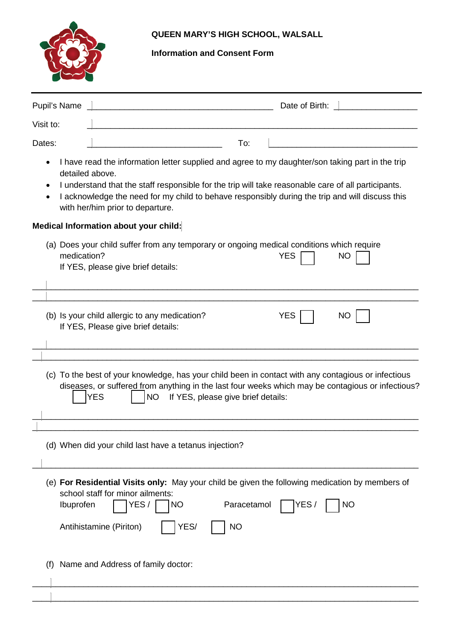

# **QUEEN MARY'S HIGH SCHOOL, WALSALL**

# **Information and Consent Form**

|                                                                                                                                                                                                                                                                                                                                                                   | Pupil's Name<br>Date of Birth:                                                                                                                                                                                                                            |  |  |  |
|-------------------------------------------------------------------------------------------------------------------------------------------------------------------------------------------------------------------------------------------------------------------------------------------------------------------------------------------------------------------|-----------------------------------------------------------------------------------------------------------------------------------------------------------------------------------------------------------------------------------------------------------|--|--|--|
| Visit to:                                                                                                                                                                                                                                                                                                                                                         | <u> 1989 - Johann Harry Harry Harry Harry Harry Harry Harry Harry Harry Harry Harry Harry Harry Harry Harry Harry</u>                                                                                                                                     |  |  |  |
| Dates:                                                                                                                                                                                                                                                                                                                                                            | To:<br><u> 1989 - Johann John Stone, mars eta bat eta bat eta bat eta bat eta bat eta bat eta bat eta bat eta bat eta b</u>                                                                                                                               |  |  |  |
| I have read the information letter supplied and agree to my daughter/son taking part in the trip<br>detailed above.<br>I understand that the staff responsible for the trip will take reasonable care of all participants.<br>I acknowledge the need for my child to behave responsibly during the trip and will discuss this<br>with her/him prior to departure. |                                                                                                                                                                                                                                                           |  |  |  |
| Medical Information about your child:                                                                                                                                                                                                                                                                                                                             |                                                                                                                                                                                                                                                           |  |  |  |
|                                                                                                                                                                                                                                                                                                                                                                   | (a) Does your child suffer from any temporary or ongoing medical conditions which require<br>medication?<br><b>YES</b><br>NO<br>If YES, please give brief details:                                                                                        |  |  |  |
|                                                                                                                                                                                                                                                                                                                                                                   | (b) Is your child allergic to any medication?<br><b>YES</b><br>NO<br>If YES, Please give brief details:<br><u> 1989 - Johann Barbara, margaret eta biztanleria (h. 1989).</u>                                                                             |  |  |  |
| (c) To the best of your knowledge, has your child been in contact with any contagious or infectious<br>diseases, or suffered from anything in the last four weeks which may be contagious or infectious?<br><b>NO</b><br>If YES, please give brief details:<br><b>YES</b>                                                                                         |                                                                                                                                                                                                                                                           |  |  |  |
|                                                                                                                                                                                                                                                                                                                                                                   | (d) When did your child last have a tetanus injection?                                                                                                                                                                                                    |  |  |  |
|                                                                                                                                                                                                                                                                                                                                                                   | (e) For Residential Visits only: May your child be given the following medication by members of<br>school staff for minor ailments:<br>Ibuprofen<br>YES/<br>Paracetamol<br><b>NO</b><br>YES/<br><b>NO</b><br>YES/<br>Antihistamine (Piriton)<br><b>NO</b> |  |  |  |
|                                                                                                                                                                                                                                                                                                                                                                   | Name and Address of family doctor:                                                                                                                                                                                                                        |  |  |  |